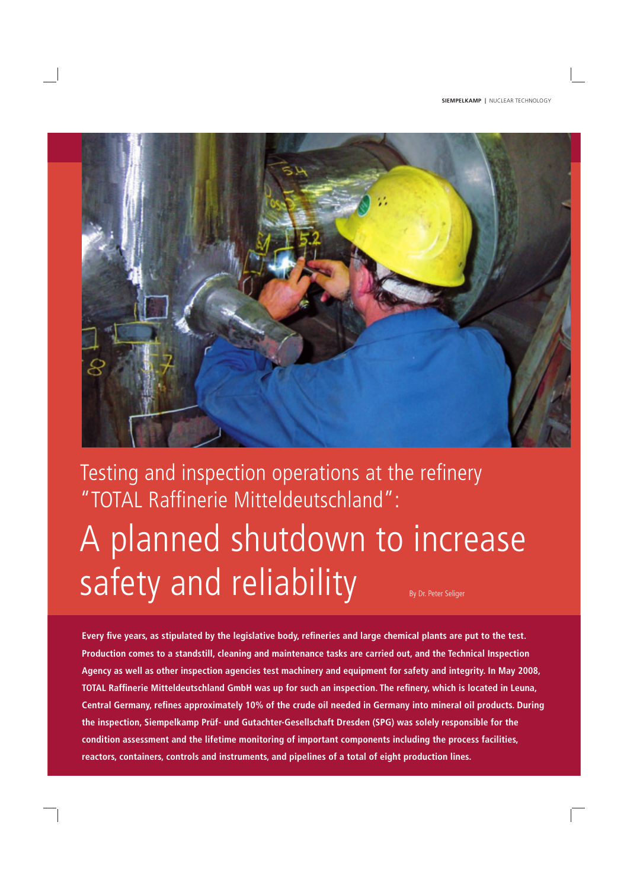

# Testing and inspection operations at the refinery "TOTAL Raffinerie Mitteldeutschland": A planned shutdown to increase safety and reliability By Dr. Peter Seliger

Every five years, as stipulated by the legislative body, refineries and large chemical plants are put to the test. **Production comes to a standstill, cleaning and maintenance tasks are carried out, and the Technical Inspection Agency as well as other inspection agencies test machinery and equipment for safety and integrity. In May 2008, TOTAL Raffinerie Mitteldeutschland GmbH** was up for such an inspection. The refinery, which is located in Leuna, Central Germany, refines approximately 10% of the crude oil needed in Germany into mineral oil products. During **the inspection, Siempelkamp Prüf- und Gutachter-Gesellschaft Dresden (SPG) was solely responsible for the condition assessment and the lifetime monitoring of important components including the process facilities, reactors, containers, controls and instruments, and pipelines of a total of eight production lines.**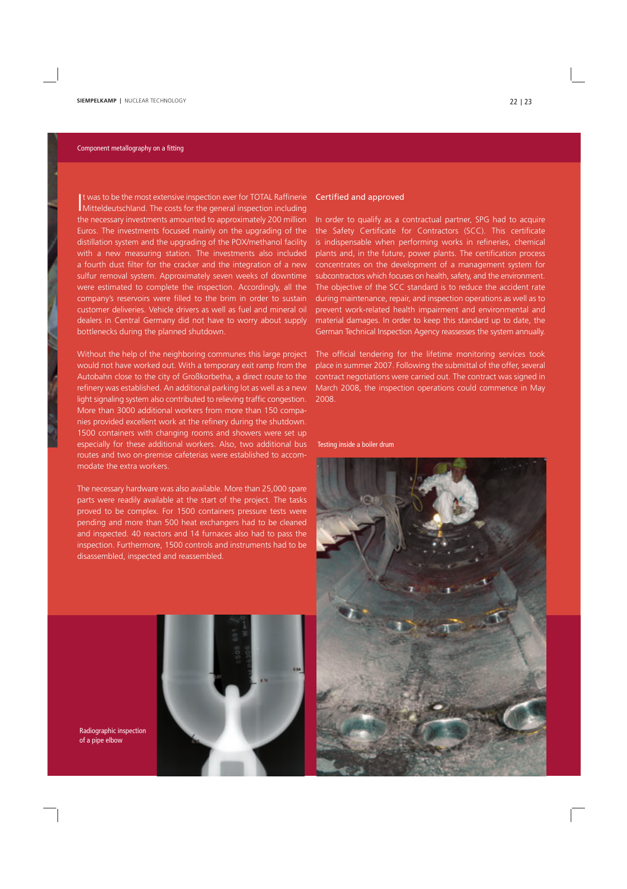#### Component metallography on a fitting

It was to be the most extensive inspection ever for TOTAL Raffinerie<br>Mitteldeutschland. The costs for the general inspection including It was to be the most extensive inspection ever for TOTAL Raffinerie the necessary investments amounted to approximately 200 million Euros. The investments focused mainly on the upgrading of the distillation system and the upgrading of the POX/methanol facility with a new measuring station. The investments also included a fourth dust filter for the cracker and the integration of a new sulfur removal system. Approximately seven weeks of downtime were estimated to complete the inspection. Accordingly, all the company's reservoirs were filled to the brim in order to sustain customer deliveries. Vehicle drivers as well as fuel and mineral oil dealers in Central Germany did not have to worry about supply bottlenecks during the planned shutdown.

Without the help of the neighboring communes this large project would not have worked out. With a temporary exit ramp from the Autobahn close to the city of Großkorbetha, a direct route to the refinery was established. An additional parking lot as well as a new light signaling system also contributed to relieving traffic congestion. More than 3000 additional workers from more than 150 companies provided excellent work at the refinery during the shutdown. 1500 containers with changing rooms and showers were set up especially for these additional workers. Also, two additional bus routes and two on-premise cafeterias were established to accommodate the extra workers.

The necessary hardware was also available. More than 25,000 spare parts were readily available at the start of the project. The tasks proved to be complex. For 1500 containers pressure tests were pending and more than 500 heat exchangers had to be cleaned and inspected. 40 reactors and 14 furnaces also had to pass the inspection. Furthermore, 1500 controls and instruments had to be disassembled, inspected and reassembled.



In order to qualify as a contractual partner, SPG had to acquire the Safety Certificate for Contractors (SCC). This certificate is indispensable when performing works in refineries, chemical plants and, in the future, power plants. The certification process concentrates on the development of a management system for subcontractors which focuses on health, safety, and the environment. The objective of the SCC standard is to reduce the accident rate during maintenance, repair, and inspection operations as well as to prevent work-related health impairment and environmental and material damages. In order to keep this standard up to date, the German Technical Inspection Agency reassesses the system annually.

The official tendering for the lifetime monitoring services took place in summer 2007. Following the submittal of the offer, several contract negotiations were carried out. The contract was signed in March 2008, the inspection operations could commence in May 2008.

Testing inside a boiler drum



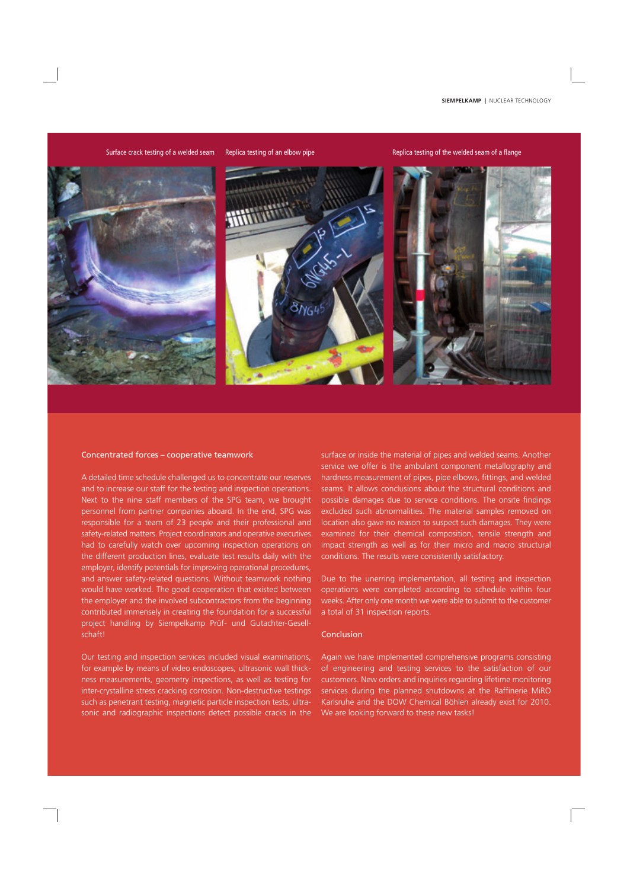Surface crack testing of a welded seam Replica testing of an elbow pipe Replica testing of the welded seam of a flange



#### Concentrated forces – cooperative teamwork

A detailed time schedule challenged us to concentrate our reserves and to increase our staff for the testing and inspection operations. Next to the nine staff members of the SPG team, we brought personnel from partner companies aboard. In the end, SPG was responsible for a team of 23 people and their professional and safety-related matters. Project coordinators and operative executives had to carefully watch over upcoming inspection operations on the different production lines, evaluate test results daily with the employer, identify potentials for improving operational procedures, and answer safety-related questions. Without teamwork nothing would have worked. The good cooperation that existed between the employer and the involved subcontractors from the beginning contributed immensely in creating the foundation for a successful project handling by Siempelkamp Prüf- und Gutachter-Gesellschaft!

Our testing and inspection services included visual examinations, for example by means of video endoscopes, ultrasonic wall thickness measurements, geometry inspections, as well as testing for inter-crystalline stress cracking corrosion. Non-destructive testings such as penetrant testing, magnetic particle inspection tests, ultrasonic and radiographic inspections detect possible cracks in the surface or inside the material of pipes and welded seams. Another service we offer is the ambulant component metallography and hardness measurement of pipes, pipe elbows, fittings, and welded seams. It allows conclusions about the structural conditions and possible damages due to service conditions. The onsite findings excluded such abnormalities. The material samples removed on location also gave no reason to suspect such damages. They were examined for their chemical composition, tensile strength and impact strength as well as for their micro and macro structural conditions. The results were consistently satisfactory.

Due to the unerring implementation, all testing and inspection operations were completed according to schedule within four weeks. After only one month we were able to submit to the customer a total of 31 inspection reports.

### Conclusion

Again we have implemented comprehensive programs consisting of engineering and testing services to the satisfaction of our customers. New orders and inquiries regarding lifetime monitoring services during the planned shutdowns at the Raffinerie MiRO Karlsruhe and the DOW Chemical Böhlen already exist for 2010. We are looking forward to these new tasks!